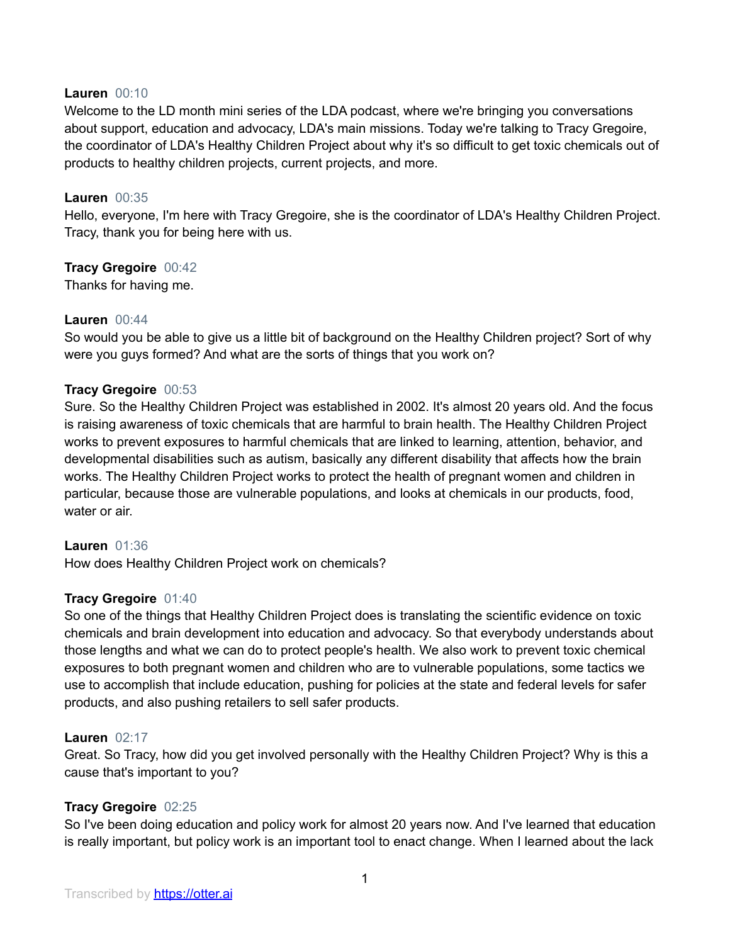## **Lauren** 00:10

Welcome to the LD month mini series of the LDA podcast, where we're bringing you conversations about support, education and advocacy, LDA's main missions. Today we're talking to Tracy Gregoire, the coordinator of LDA's Healthy Children Project about why it's so difficult to get toxic chemicals out of products to healthy children projects, current projects, and more.

### **Lauren** 00:35

Hello, everyone, I'm here with Tracy Gregoire, she is the coordinator of LDA's Healthy Children Project. Tracy, thank you for being here with us.

# **Tracy Gregoire** 00:42

Thanks for having me.

### **Lauren** 00:44

So would you be able to give us a little bit of background on the Healthy Children project? Sort of why were you guys formed? And what are the sorts of things that you work on?

### **Tracy Gregoire** 00:53

Sure. So the Healthy Children Project was established in 2002. It's almost 20 years old. And the focus is raising awareness of toxic chemicals that are harmful to brain health. The Healthy Children Project works to prevent exposures to harmful chemicals that are linked to learning, attention, behavior, and developmental disabilities such as autism, basically any different disability that affects how the brain works. The Healthy Children Project works to protect the health of pregnant women and children in particular, because those are vulnerable populations, and looks at chemicals in our products, food, water or air.

#### **Lauren** 01:36

How does Healthy Children Project work on chemicals?

# **Tracy Gregoire** 01:40

So one of the things that Healthy Children Project does is translating the scientific evidence on toxic chemicals and brain development into education and advocacy. So that everybody understands about those lengths and what we can do to protect people's health. We also work to prevent toxic chemical exposures to both pregnant women and children who are to vulnerable populations, some tactics we use to accomplish that include education, pushing for policies at the state and federal levels for safer products, and also pushing retailers to sell safer products.

#### **Lauren** 02:17

Great. So Tracy, how did you get involved personally with the Healthy Children Project? Why is this a cause that's important to you?

# **Tracy Gregoire** 02:25

So I've been doing education and policy work for almost 20 years now. And I've learned that education is really important, but policy work is an important tool to enact change. When I learned about the lack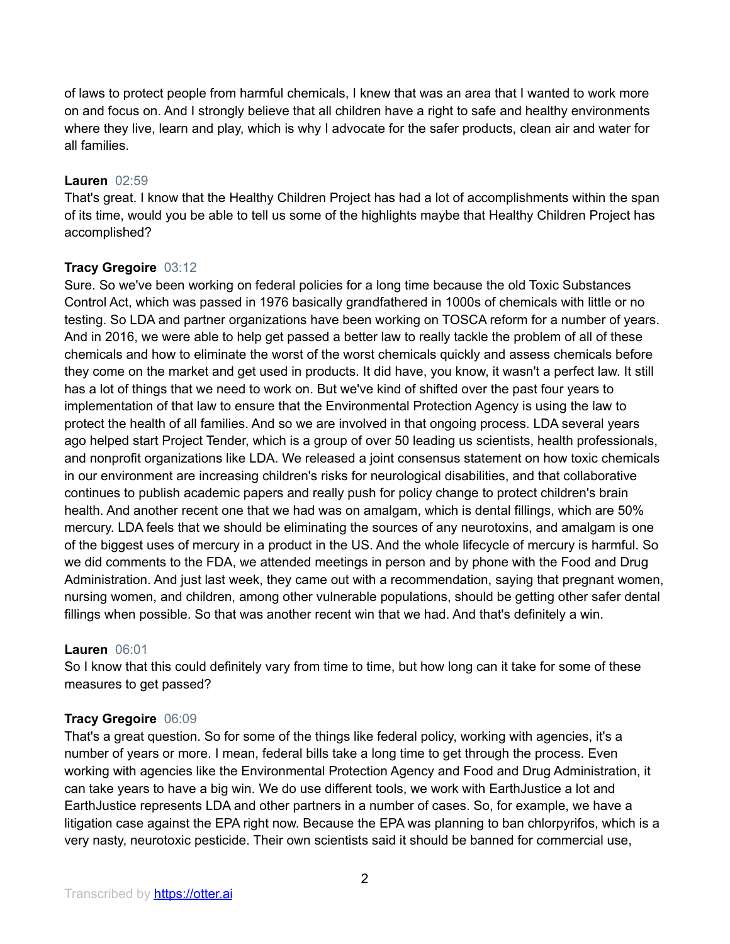of laws to protect people from harmful chemicals, I knew that was an area that I wanted to work more on and focus on. And I strongly believe that all children have a right to safe and healthy environments where they live, learn and play, which is why I advocate for the safer products, clean air and water for all families.

# **Lauren** 02:59

That's great. I know that the Healthy Children Project has had a lot of accomplishments within the span of its time, would you be able to tell us some of the highlights maybe that Healthy Children Project has accomplished?

# **Tracy Gregoire** 03:12

Sure. So we've been working on federal policies for a long time because the old Toxic Substances Control Act, which was passed in 1976 basically grandfathered in 1000s of chemicals with little or no testing. So LDA and partner organizations have been working on TOSCA reform for a number of years. And in 2016, we were able to help get passed a better law to really tackle the problem of all of these chemicals and how to eliminate the worst of the worst chemicals quickly and assess chemicals before they come on the market and get used in products. It did have, you know, it wasn't a perfect law. It still has a lot of things that we need to work on. But we've kind of shifted over the past four years to implementation of that law to ensure that the Environmental Protection Agency is using the law to protect the health of all families. And so we are involved in that ongoing process. LDA several years ago helped start Project Tender, which is a group of over 50 leading us scientists, health professionals, and nonprofit organizations like LDA. We released a joint consensus statement on how toxic chemicals in our environment are increasing children's risks for neurological disabilities, and that collaborative continues to publish academic papers and really push for policy change to protect children's brain health. And another recent one that we had was on amalgam, which is dental fillings, which are 50% mercury. LDA feels that we should be eliminating the sources of any neurotoxins, and amalgam is one of the biggest uses of mercury in a product in the US. And the whole lifecycle of mercury is harmful. So we did comments to the FDA, we attended meetings in person and by phone with the Food and Drug Administration. And just last week, they came out with a recommendation, saying that pregnant women, nursing women, and children, among other vulnerable populations, should be getting other safer dental fillings when possible. So that was another recent win that we had. And that's definitely a win.

# **Lauren** 06:01

So I know that this could definitely vary from time to time, but how long can it take for some of these measures to get passed?

# **Tracy Gregoire** 06:09

That's a great question. So for some of the things like federal policy, working with agencies, it's a number of years or more. I mean, federal bills take a long time to get through the process. Even working with agencies like the Environmental Protection Agency and Food and Drug Administration, it can take years to have a big win. We do use different tools, we work with EarthJustice a lot and EarthJustice represents LDA and other partners in a number of cases. So, for example, we have a litigation case against the EPA right now. Because the EPA was planning to ban chlorpyrifos, which is a very nasty, neurotoxic pesticide. Their own scientists said it should be banned for commercial use,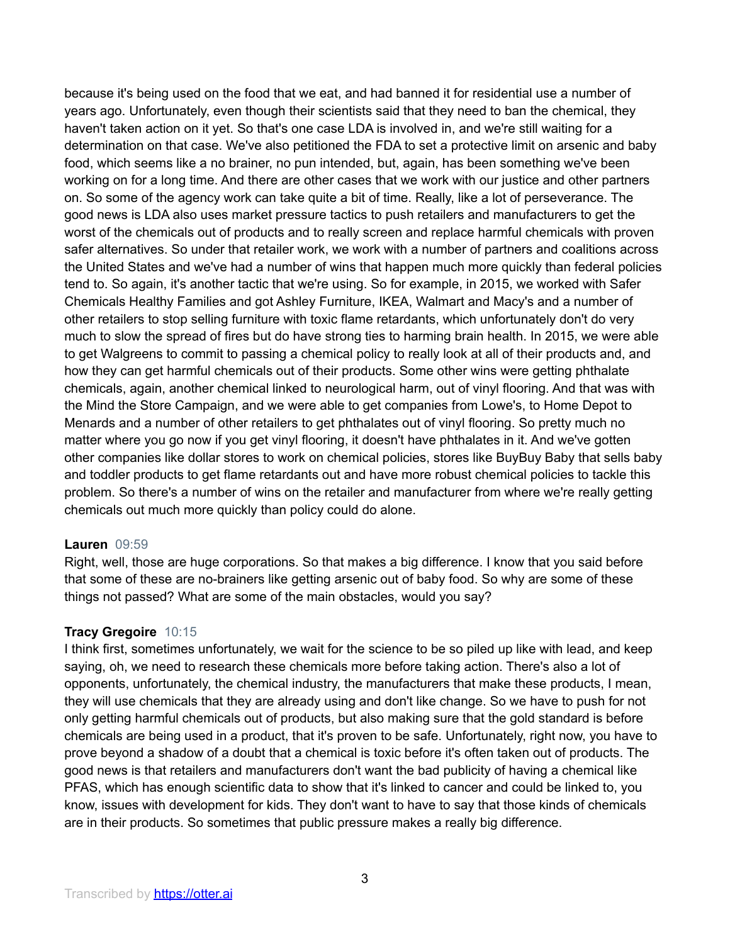because it's being used on the food that we eat, and had banned it for residential use a number of years ago. Unfortunately, even though their scientists said that they need to ban the chemical, they haven't taken action on it yet. So that's one case LDA is involved in, and we're still waiting for a determination on that case. We've also petitioned the FDA to set a protective limit on arsenic and baby food, which seems like a no brainer, no pun intended, but, again, has been something we've been working on for a long time. And there are other cases that we work with our justice and other partners on. So some of the agency work can take quite a bit of time. Really, like a lot of perseverance. The good news is LDA also uses market pressure tactics to push retailers and manufacturers to get the worst of the chemicals out of products and to really screen and replace harmful chemicals with proven safer alternatives. So under that retailer work, we work with a number of partners and coalitions across the United States and we've had a number of wins that happen much more quickly than federal policies tend to. So again, it's another tactic that we're using. So for example, in 2015, we worked with Safer Chemicals Healthy Families and got Ashley Furniture, IKEA, Walmart and Macy's and a number of other retailers to stop selling furniture with toxic flame retardants, which unfortunately don't do very much to slow the spread of fires but do have strong ties to harming brain health. In 2015, we were able to get Walgreens to commit to passing a chemical policy to really look at all of their products and, and how they can get harmful chemicals out of their products. Some other wins were getting phthalate chemicals, again, another chemical linked to neurological harm, out of vinyl flooring. And that was with the Mind the Store Campaign, and we were able to get companies from Lowe's, to Home Depot to Menards and a number of other retailers to get phthalates out of vinyl flooring. So pretty much no matter where you go now if you get vinyl flooring, it doesn't have phthalates in it. And we've gotten other companies like dollar stores to work on chemical policies, stores like BuyBuy Baby that sells baby and toddler products to get flame retardants out and have more robust chemical policies to tackle this problem. So there's a number of wins on the retailer and manufacturer from where we're really getting chemicals out much more quickly than policy could do alone.

#### **Lauren** 09:59

Right, well, those are huge corporations. So that makes a big difference. I know that you said before that some of these are no-brainers like getting arsenic out of baby food. So why are some of these things not passed? What are some of the main obstacles, would you say?

#### **Tracy Gregoire** 10:15

I think first, sometimes unfortunately, we wait for the science to be so piled up like with lead, and keep saying, oh, we need to research these chemicals more before taking action. There's also a lot of opponents, unfortunately, the chemical industry, the manufacturers that make these products, I mean, they will use chemicals that they are already using and don't like change. So we have to push for not only getting harmful chemicals out of products, but also making sure that the gold standard is before chemicals are being used in a product, that it's proven to be safe. Unfortunately, right now, you have to prove beyond a shadow of a doubt that a chemical is toxic before it's often taken out of products. The good news is that retailers and manufacturers don't want the bad publicity of having a chemical like PFAS, which has enough scientific data to show that it's linked to cancer and could be linked to, you know, issues with development for kids. They don't want to have to say that those kinds of chemicals are in their products. So sometimes that public pressure makes a really big difference.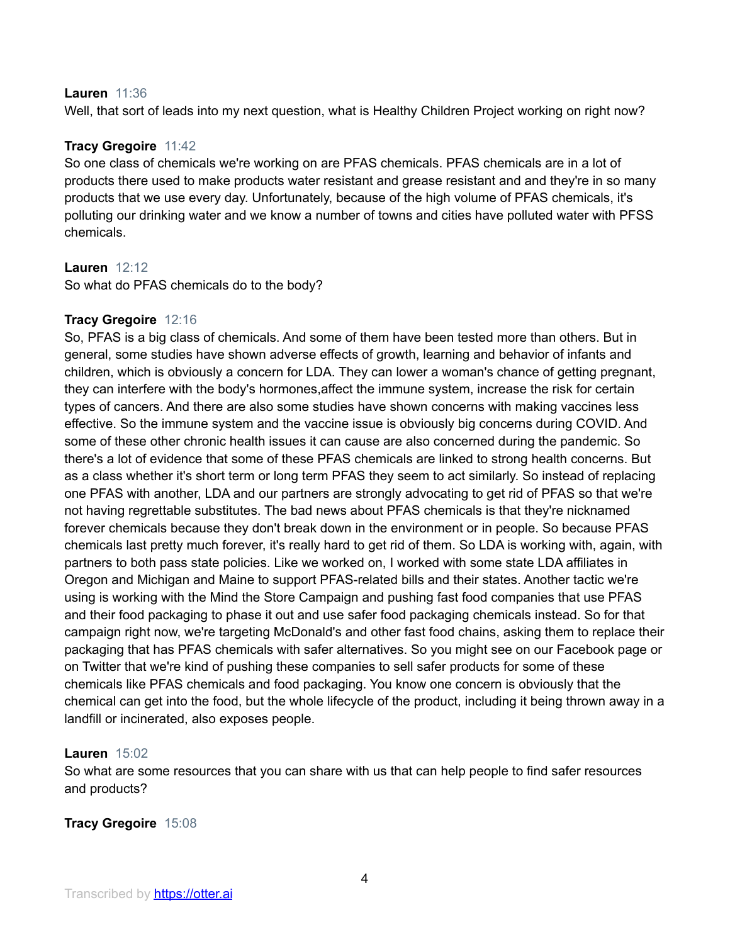### **Lauren** 11:36

Well, that sort of leads into my next question, what is Healthy Children Project working on right now?

# **Tracy Gregoire** 11:42

So one class of chemicals we're working on are PFAS chemicals. PFAS chemicals are in a lot of products there used to make products water resistant and grease resistant and and they're in so many products that we use every day. Unfortunately, because of the high volume of PFAS chemicals, it's polluting our drinking water and we know a number of towns and cities have polluted water with PFSS chemicals.

### **Lauren** 12:12

So what do PFAS chemicals do to the body?

# **Tracy Gregoire** 12:16

So, PFAS is a big class of chemicals. And some of them have been tested more than others. But in general, some studies have shown adverse effects of growth, learning and behavior of infants and children, which is obviously a concern for LDA. They can lower a woman's chance of getting pregnant, they can interfere with the body's hormones,affect the immune system, increase the risk for certain types of cancers. And there are also some studies have shown concerns with making vaccines less effective. So the immune system and the vaccine issue is obviously big concerns during COVID. And some of these other chronic health issues it can cause are also concerned during the pandemic. So there's a lot of evidence that some of these PFAS chemicals are linked to strong health concerns. But as a class whether it's short term or long term PFAS they seem to act similarly. So instead of replacing one PFAS with another, LDA and our partners are strongly advocating to get rid of PFAS so that we're not having regrettable substitutes. The bad news about PFAS chemicals is that they're nicknamed forever chemicals because they don't break down in the environment or in people. So because PFAS chemicals last pretty much forever, it's really hard to get rid of them. So LDA is working with, again, with partners to both pass state policies. Like we worked on, I worked with some state LDA affiliates in Oregon and Michigan and Maine to support PFAS-related bills and their states. Another tactic we're using is working with the Mind the Store Campaign and pushing fast food companies that use PFAS and their food packaging to phase it out and use safer food packaging chemicals instead. So for that campaign right now, we're targeting McDonald's and other fast food chains, asking them to replace their packaging that has PFAS chemicals with safer alternatives. So you might see on our Facebook page or on Twitter that we're kind of pushing these companies to sell safer products for some of these chemicals like PFAS chemicals and food packaging. You know one concern is obviously that the chemical can get into the food, but the whole lifecycle of the product, including it being thrown away in a landfill or incinerated, also exposes people.

# **Lauren** 15:02

So what are some resources that you can share with us that can help people to find safer resources and products?

# **Tracy Gregoire** 15:08